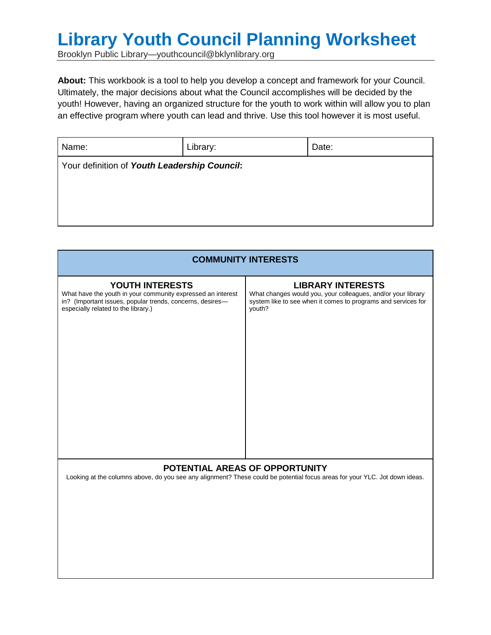## **Library Youth Council Planning Worksheet**

Brooklyn Public Library—youthcouncil@bklynlibrary.org

**About:** This workbook is a tool to help you develop a concept and framework for your Council. Ultimately, the major decisions about what the Council accomplishes will be decided by the youth! However, having an organized structure for the youth to work within will allow you to plan an effective program where youth can lead and thrive. Use this tool however it is most useful.

| Name:                                        | Library: | Date: |  |  |
|----------------------------------------------|----------|-------|--|--|
| Your definition of Youth Leadership Council: |          |       |  |  |
|                                              |          |       |  |  |
|                                              |          |       |  |  |

| <b>LIBRARY INTERESTS</b><br>What changes would you, your colleagues, and/or your library                                                                     |  |  |  |  |
|--------------------------------------------------------------------------------------------------------------------------------------------------------------|--|--|--|--|
| system like to see when it comes to programs and services for<br>youth?                                                                                      |  |  |  |  |
| POTENTIAL AREAS OF OPPORTUNITY<br>Looking at the columns above, do you see any alignment? These could be potential focus areas for your YLC. Jot down ideas. |  |  |  |  |
|                                                                                                                                                              |  |  |  |  |
|                                                                                                                                                              |  |  |  |  |
|                                                                                                                                                              |  |  |  |  |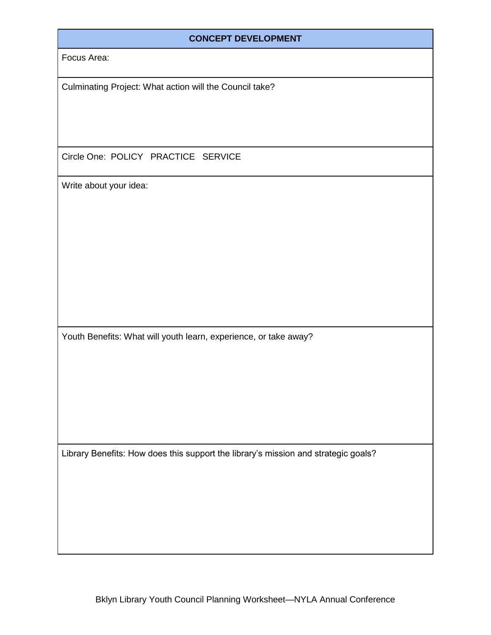## **CONCEPT DEVELOPMENT**

Focus Area:

Culminating Project: What action will the Council take?

Circle One: POLICY PRACTICE SERVICE

Write about your idea:

Youth Benefits: What will youth learn, experience, or take away?

Library Benefits: How does this support the library's mission and strategic goals?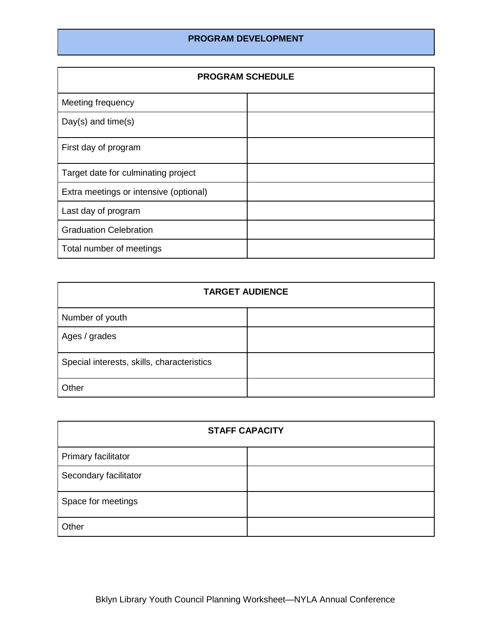## **PROGRAM DEVELOPMENT**

| <b>PROGRAM SCHEDULE</b>                |  |  |
|----------------------------------------|--|--|
| Meeting frequency                      |  |  |
| Day(s) and $time(s)$                   |  |  |
| First day of program                   |  |  |
| Target date for culminating project    |  |  |
| Extra meetings or intensive (optional) |  |  |
| Last day of program                    |  |  |
| <b>Graduation Celebration</b>          |  |  |
| Total number of meetings               |  |  |

| <b>TARGET AUDIENCE</b>                     |  |  |
|--------------------------------------------|--|--|
| Number of youth                            |  |  |
| Ages / grades                              |  |  |
| Special interests, skills, characteristics |  |  |
| Other                                      |  |  |

| <b>STAFF CAPACITY</b> |  |  |
|-----------------------|--|--|
| Primary facilitator   |  |  |
| Secondary facilitator |  |  |
| Space for meetings    |  |  |
| Other                 |  |  |